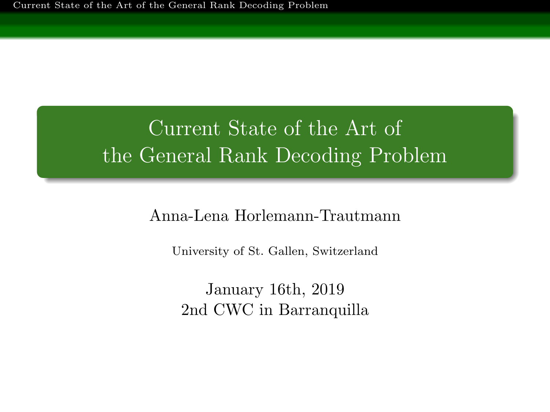<span id="page-0-0"></span>[Current State of the Art of the General Rank Decoding Problem](#page-61-0)

# Current State of the Art of the General Rank Decoding Problem

### Anna-Lena Horlemann-Trautmann

University of St. Gallen, Switzerland

January 16th, 2019 2nd CWC in Barranquilla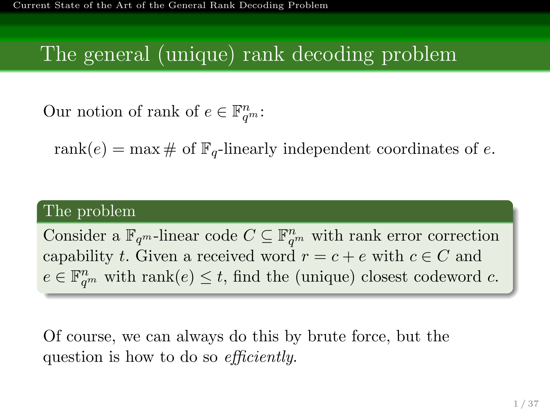# The general (unique) rank decoding problem

Our notion of rank of  $e \in \mathbb{F}_{q^m}^n$ :

rank $(e) = \max \#$  of  $\mathbb{F}_q$ -linearly independent coordinates of e.

### The problem

Consider a  $\mathbb{F}_{q^m}$ -linear code  $C \subseteq \mathbb{F}_{q^m}^n$  with rank error correction capability t. Given a received word  $r = c + e$  with  $c \in C$  and  $e \in \mathbb{F}_{q^m}^n$  with rank $(e) \leq t$ , find the (unique) closest codeword c.

Of course, we can always do this by brute force, but the question is how to do so *efficiently*.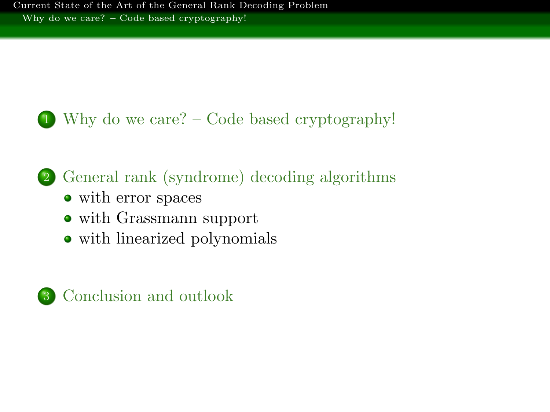<span id="page-2-0"></span>

1 [Why do we care? – Code based cryptography!](#page-2-0)

# 2 [General rank \(syndrome\) decoding algorithms](#page-16-0)

- [with error spaces](#page-17-0)
- [with Grassmann support](#page-38-0)
- [with linearized polynomials](#page-53-0)

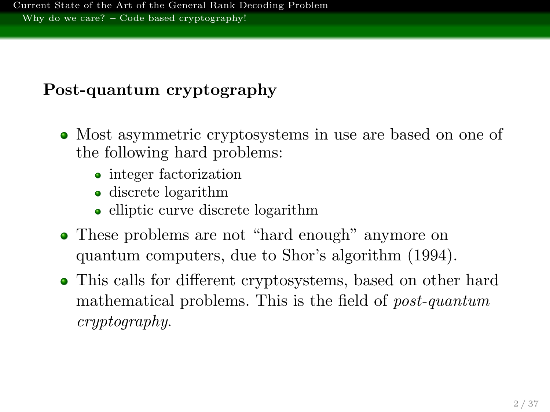## Post-quantum cryptography

- Most asymmetric cryptosystems in use are based on one of the following hard problems:
	- integer factorization
	- discrete logarithm
	- elliptic curve discrete logarithm
- These problems are not "hard enough" anymore on quantum computers, due to Shor's algorithm (1994).
- This calls for different cryptosystems, based on other hard mathematical problems. This is the field of post-quantum cryptography.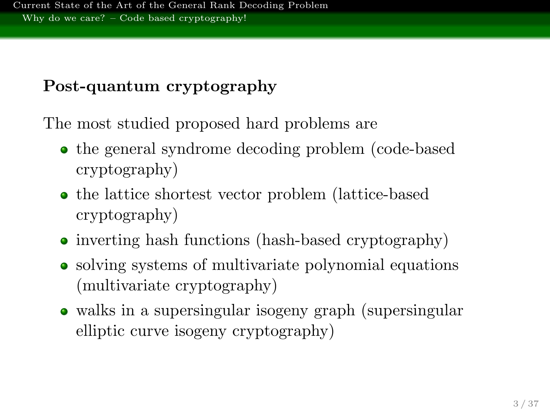## Post-quantum cryptography

The most studied proposed hard problems are

- the general syndrome decoding problem (code-based cryptography)
- the lattice shortest vector problem (lattice-based) cryptography)
- inverting hash functions (hash-based cryptography)
- solving systems of multivariate polynomial equations (multivariate cryptography)
- walks in a supersingular isogeny graph (supersingular elliptic curve isogeny cryptography)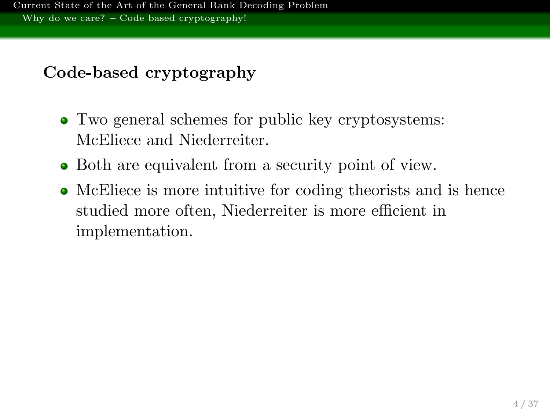## Code-based cryptography

- Two general schemes for public key cryptosystems: McEliece and Niederreiter.
- Both are equivalent from a security point of view.
- McEliece is more intuitive for coding theorists and is hence studied more often, Niederreiter is more efficient in implementation.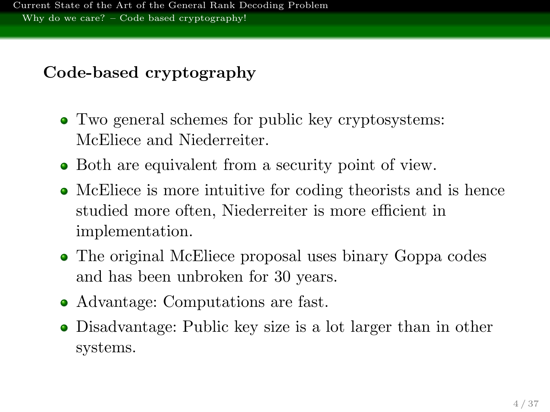## Code-based cryptography

- Two general schemes for public key cryptosystems: McEliece and Niederreiter.
- Both are equivalent from a security point of view.
- McEliece is more intuitive for coding theorists and is hence studied more often, Niederreiter is more efficient in implementation.
- The original McEliece proposal uses binary Goppa codes and has been unbroken for 30 years.
- Advantage: Computations are fast.
- Disadvantage: Public key size is a lot larger than in other systems.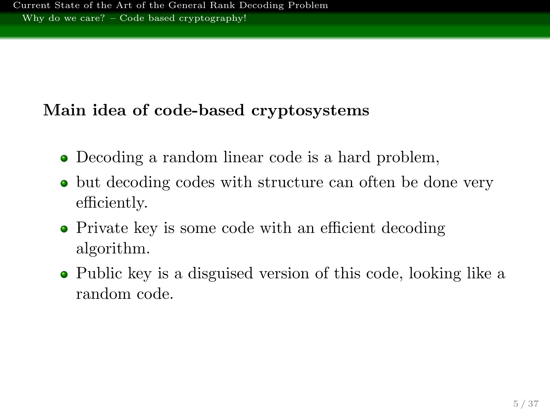## Main idea of code-based cryptosystems

- Decoding a random linear code is a hard problem,
- but decoding codes with structure can often be done very efficiently.
- Private key is some code with an efficient decoding algorithm.
- Public key is a disguised version of this code, looking like a random code.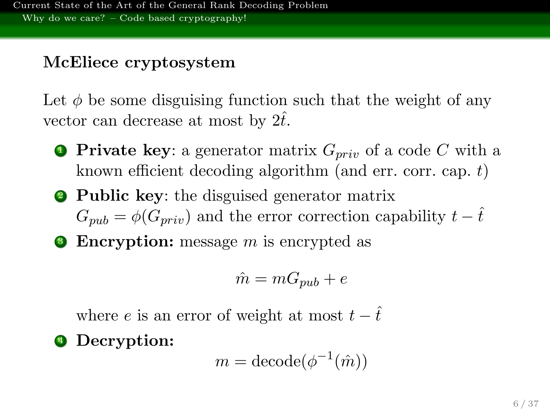## McEliece cryptosystem

Let  $\phi$  be some disguising function such that the weight of any vector can decrease at most by  $2t$ .

- **Private key:** a generator matrix  $G_{priv}$  of a code C with a known efficient decoding algorithm (and err. corr. cap.  $t$ )
- **2 Public key:** the disguised generator matrix  $G_{m\nu} = \phi(G_{m\nu})$  and the error correction capability  $t - \hat{t}$
- $\bullet$  Encryption: message m is encrypted as

$$
\hat{m} = mG_{pub} + e
$$

where e is an error of weight at most  $t - \hat{t}$ 

<sup>4</sup> Decryption:

$$
m = \text{decode}(\phi^{-1}(\hat{m}))
$$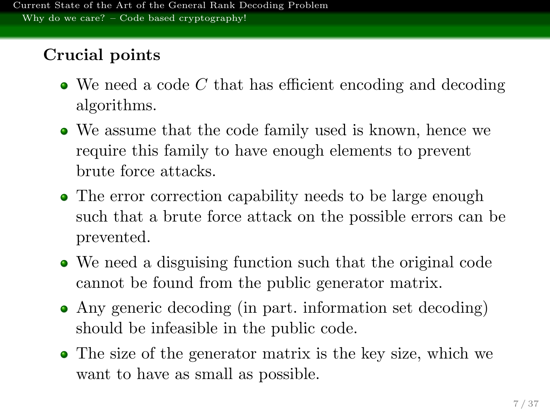## Crucial points

- $\bullet$  We need a code C that has efficient encoding and decoding algorithms.
- We assume that the code family used is known, hence we require this family to have enough elements to prevent brute force attacks.
- The error correction capability needs to be large enough such that a brute force attack on the possible errors can be prevented.
- We need a disguising function such that the original code cannot be found from the public generator matrix.
- Any generic decoding (in part. information set decoding) should be infeasible in the public code.
- The size of the generator matrix is the key size, which we want to have as small as possible.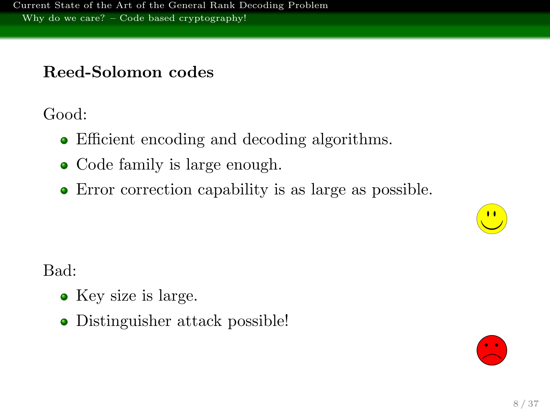## Reed-Solomon codes

Good:

- Efficient encoding and decoding algorithms.
- Code family is large enough.
- Error correction capability is as large as possible.



Bad:

- Key size is large.
- Distinguisher attack possible!

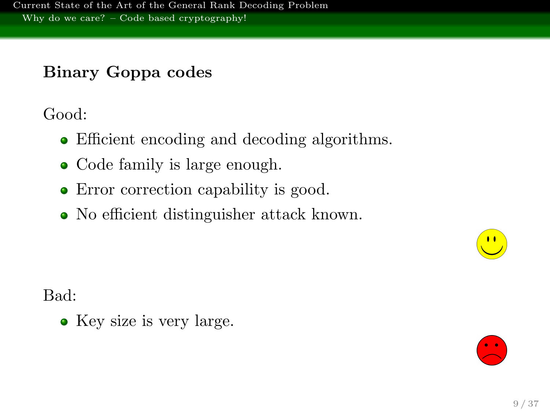## Binary Goppa codes

Good:

- Efficient encoding and decoding algorithms.
- Code family is large enough.
- Error correction capability is good.
- No efficient distinguisher attack known.



 $\bullet$  Key size is very large.

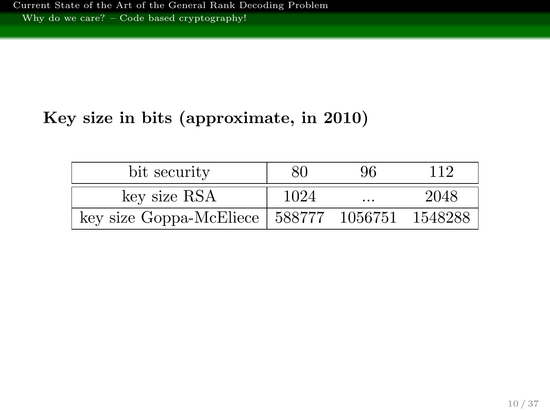## Key size in bits (approximate, in 2010)

| bit security                                     | 80   | 96       | 112  |
|--------------------------------------------------|------|----------|------|
| key size RSA                                     | 1024 | $\cdots$ | 2048 |
| key size Goppa-McEliece   588777 1056751 1548288 |      |          |      |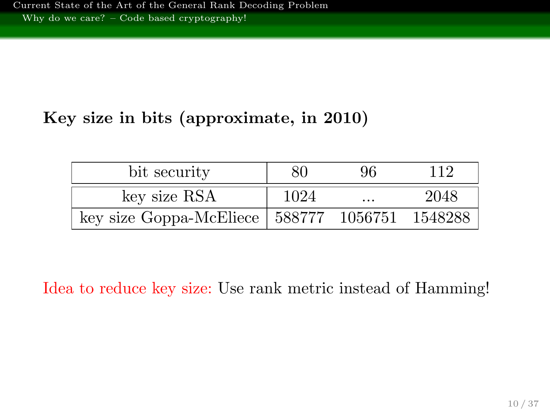## Key size in bits (approximate, in 2010)

| bit security                                     | 80   | 96       | 112  |
|--------------------------------------------------|------|----------|------|
| key size RSA                                     | 1024 | $\cdots$ | 2048 |
| key size Goppa-McEliece   588777 1056751 1548288 |      |          |      |

Idea to reduce key size: Use rank metric instead of Hamming!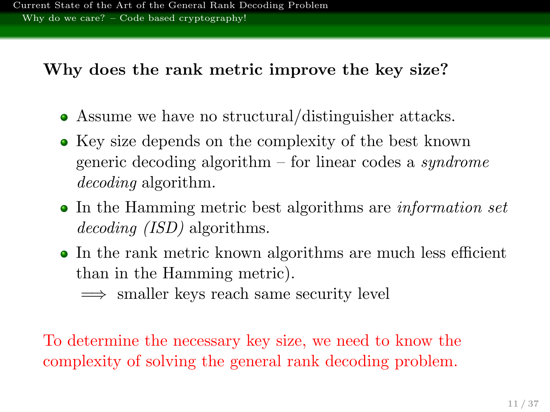### Why does the rank metric improve the key size?

- Assume we have no structural/distinguisher attacks.
- Key size depends on the complexity of the best known generic decoding algorithm – for linear codes a *syndrome* decoding algorithm.
- In the Hamming metric best algorithms are *information set* decoding *(ISD)* algorithms.
- In the rank metric known algorithms are much less efficient than in the Hamming metric).
	- =⇒ smaller keys reach same security level

To determine the necessary key size, we need to know the complexity of solving the general rank decoding problem.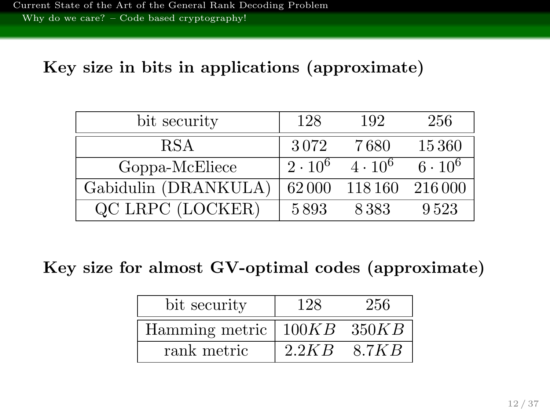### Key size in bits in applications (approximate)

| bit security         | 128            | 192            | 256            |
|----------------------|----------------|----------------|----------------|
| <b>RSA</b>           | 3072           | 7680           | 15360          |
| Goppa-McEliece       | $2 \cdot 10^6$ | $4 \cdot 10^6$ | $6 \cdot 10^6$ |
| Gabidulin (DRANKULA) | 62000          | 118 160        | 216 000        |
| QC LRPC (LOCKER)     | 5893           | 8383           | 9.523          |

Key size for almost GV-optimal codes (approximate)

| bit security                       | 128   | 256   |
|------------------------------------|-------|-------|
| Hamming metric $\vert$ 100KB 350KB |       |       |
| rank metric                        | 2.2KB | 8.7KB |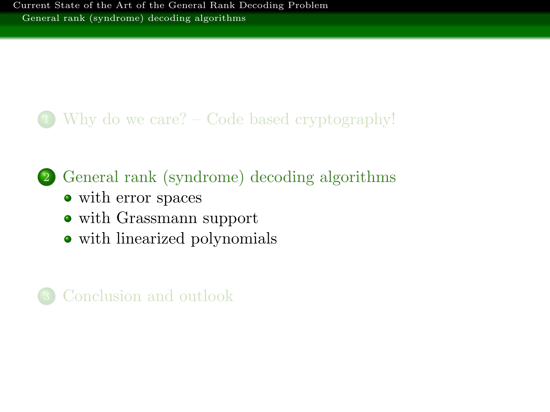## <span id="page-16-0"></span>1 [Why do we care? – Code based cryptography!](#page-2-0)

# 2 [General rank \(syndrome\) decoding algorithms](#page-16-0)

- [with error spaces](#page-17-0)
- [with Grassmann support](#page-38-0)
- [with linearized polynomials](#page-53-0)

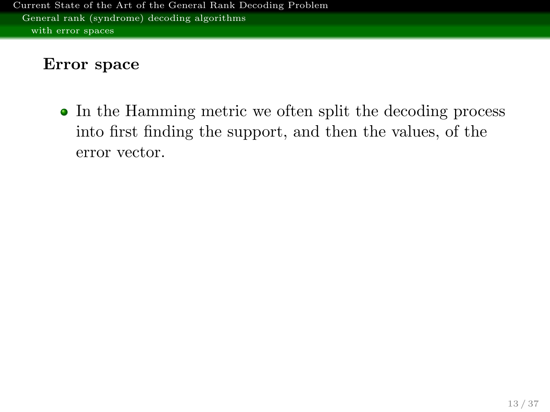### <span id="page-17-0"></span>Error space

• In the Hamming metric we often split the decoding process into first finding the support, and then the values, of the error vector.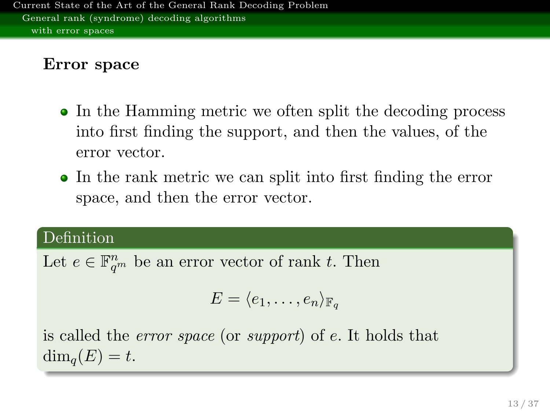### Error space

- In the Hamming metric we often split the decoding process into first finding the support, and then the values, of the error vector.
- In the rank metric we can split into first finding the error space, and then the error vector.

### Definition

Let  $e \in \mathbb{F}_{q^m}^n$  be an error vector of rank t. Then

$$
E = \langle e_1, \ldots, e_n \rangle_{\mathbb{F}_q}
$$

is called the error space (or support) of e. It holds that  $\dim_{\mathfrak{a}}(E) = t.$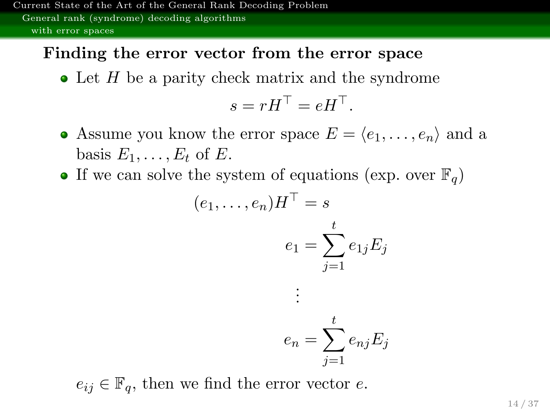### Finding the error vector from the error space

 $\bullet$  Let H be a parity check matrix and the syndrome

$$
s = rH^\top = eH^\top.
$$

- Assume you know the error space  $E = \langle e_1, \ldots, e_n \rangle$  and a basis  $E_1, \ldots, E_t$  of E.
- If we can solve the system of equations (exp. over  $\mathbb{F}_q$ )

$$
(e_1, \ldots, e_n)H^{\top} = s
$$

$$
e_1 = \sum_{j=1}^t e_{1j} E_j
$$

$$
\vdots
$$

$$
e_n = \sum_{j=1}^t e_{nj} E_j
$$

 $e_{ij} \in \mathbb{F}_q$ , then we find the error vector e.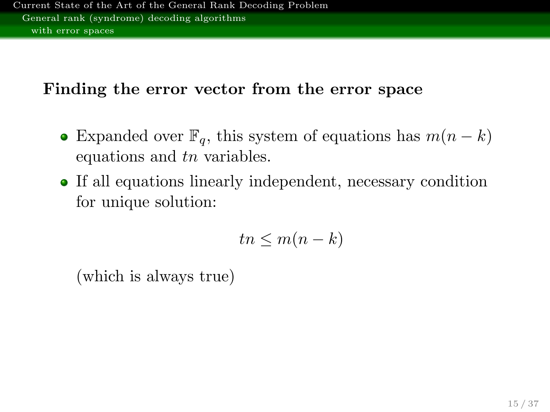### Finding the error vector from the error space

- Expanded over  $\mathbb{F}_q$ , this system of equations has  $m(n-k)$ equations and tn variables.
- If all equations linearly independent, necessary condition for unique solution:

$$
tn \le m(n-k)
$$

(which is always true)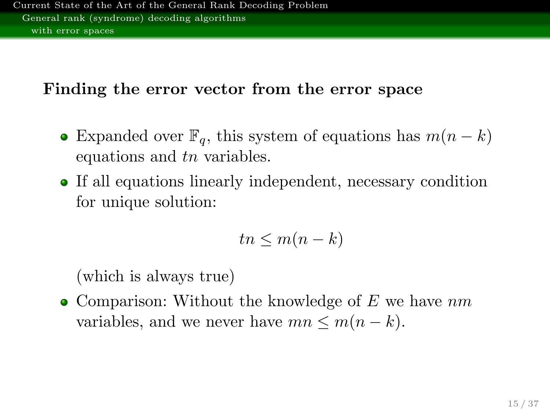### Finding the error vector from the error space

- Expanded over  $\mathbb{F}_q$ , this system of equations has  $m(n-k)$ equations and tn variables.
- If all equations linearly independent, necessary condition for unique solution:

$$
tn \le m(n-k)
$$

(which is always true)

• Comparison: Without the knowledge of  $E$  we have  $nm$ variables, and we never have  $mn \leq m(n-k)$ .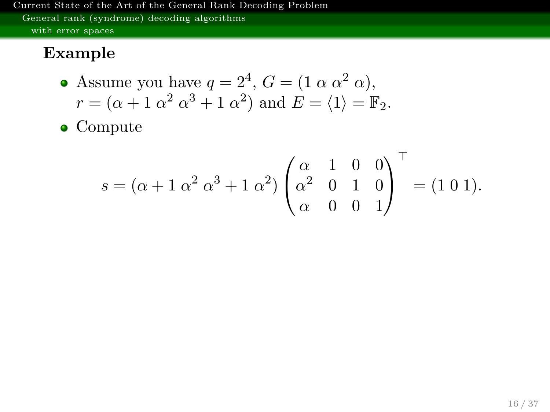## Example

• Assume you have 
$$
q = 2^4
$$
,  $G = (1 \alpha \alpha^2 \alpha)$ ,  
\n $r = (\alpha + 1 \alpha^2 \alpha^3 + 1 \alpha^2)$  and  $E = \langle 1 \rangle = \mathbb{F}_2$ .

• Compute

$$
s = (\alpha + 1 \alpha^{2} \alpha^{3} + 1 \alpha^{2}) \begin{pmatrix} \alpha & 1 & 0 & 0 \\ \alpha^{2} & 0 & 1 & 0 \\ \alpha & 0 & 0 & 1 \end{pmatrix}^{\top} = (1 \ 0 \ 1).
$$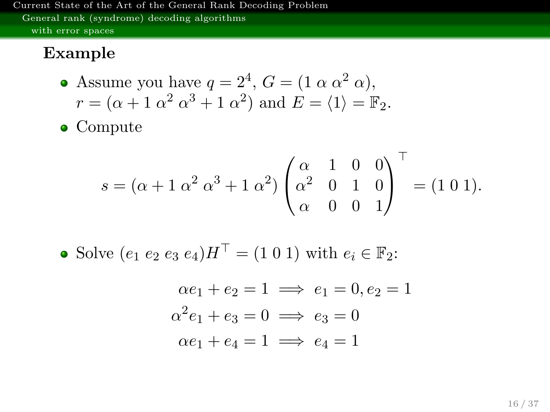### Example

• Assume you have 
$$
q = 2^4
$$
,  $G = (1 \alpha \alpha^2 \alpha)$ ,  
\n $r = (\alpha + 1 \alpha^2 \alpha^3 + 1 \alpha^2)$  and  $E = \langle 1 \rangle = \mathbb{F}_2$ .

• Compute

$$
s = (\alpha + 1 \alpha^{2} \alpha^{3} + 1 \alpha^{2}) \begin{pmatrix} \alpha & 1 & 0 & 0 \\ \alpha^{2} & 0 & 1 & 0 \\ \alpha & 0 & 0 & 1 \end{pmatrix}^{\top} = (1 \ 0 \ 1).
$$

• Solve  $(e_1 e_2 e_3 e_4) H^{\top} = (1\ 0\ 1)$  with  $e_i \in \mathbb{F}_2$ :

$$
\alpha e_1 + e_2 = 1 \implies e_1 = 0, e_2 = 1
$$
  

$$
\alpha^2 e_1 + e_3 = 0 \implies e_3 = 0
$$
  

$$
\alpha e_1 + e_4 = 1 \implies e_4 = 1
$$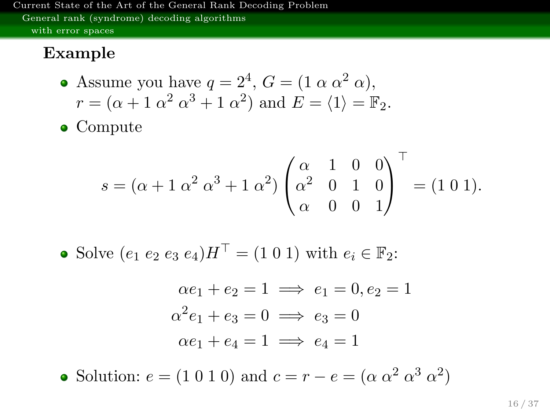### Example

• Assume you have 
$$
q = 2^4
$$
,  $G = (1 \alpha \alpha^2 \alpha)$ ,  
\n $r = (\alpha + 1 \alpha^2 \alpha^3 + 1 \alpha^2)$  and  $E = \langle 1 \rangle = \mathbb{F}_2$ .

• Compute

$$
s = (\alpha + 1 \alpha^{2} \alpha^{3} + 1 \alpha^{2}) \begin{pmatrix} \alpha & 1 & 0 & 0 \\ \alpha^{2} & 0 & 1 & 0 \\ \alpha & 0 & 0 & 1 \end{pmatrix}^{\top} = (1 \ 0 \ 1).
$$

• Solve  $(e_1 e_2 e_3 e_4) H^{\top} = (1 \ 0 \ 1)$  with  $e_i \in \mathbb{F}_2$ :

$$
\alpha e_1 + e_2 = 1 \implies e_1 = 0, e_2 = 1
$$
  

$$
\alpha^2 e_1 + e_3 = 0 \implies e_3 = 0
$$
  

$$
\alpha e_1 + e_4 = 1 \implies e_4 = 1
$$

Solution:  $e = (1 \ 0 \ 1 \ 0)$  and  $c = r - e = (\alpha \ \alpha^2 \ \alpha^3 \ \alpha^2)$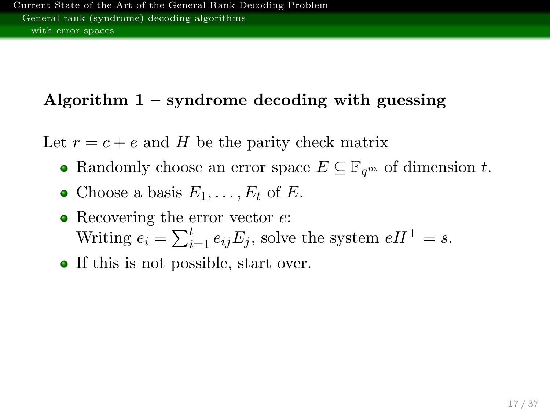## Algorithm  $1$  – syndrome decoding with guessing

Let  $r = c + e$  and H be the parity check matrix

- Randomly choose an error space  $E \subseteq \mathbb{F}_{q^m}$  of dimension t.
- Choose a basis  $E_1, \ldots, E_t$  of E.
- Recovering the error vector  $e$ : Writing  $e_i = \sum_{i=1}^t e_{ij} E_j$ , solve the system  $e H^\top = s$ .
- If this is not possible, start over.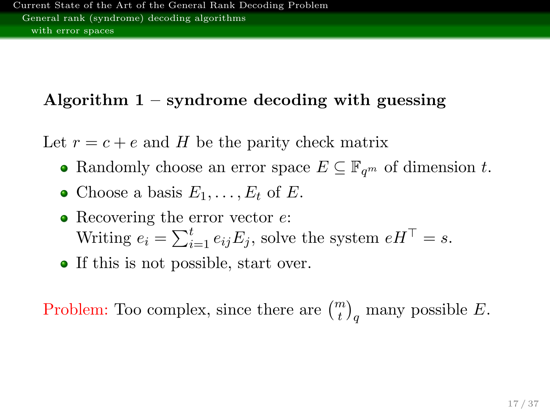## Algorithm  $1$  – syndrome decoding with guessing

Let  $r = c + e$  and H be the parity check matrix

- Randomly choose an error space  $E \subseteq \mathbb{F}_{q^m}$  of dimension t.
- Choose a basis  $E_1, \ldots, E_t$  of E.
- Recovering the error vector  $e$ : Writing  $e_i = \sum_{i=1}^t e_{ij} E_j$ , solve the system  $e H^\top = s$ .
- If this is not possible, start over.

Problem: Too complex, since there are  $\binom{m}{t}_q$  many possible E.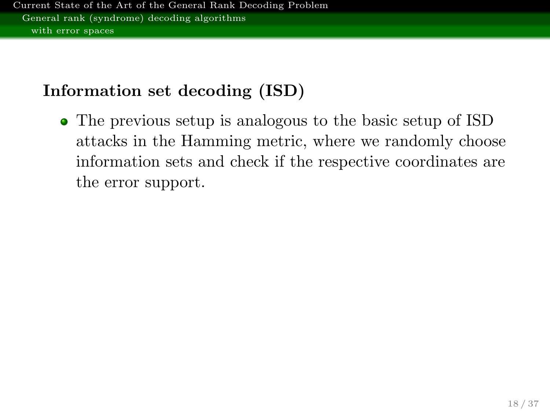## Information set decoding (ISD)

The previous setup is analogous to the basic setup of ISD attacks in the Hamming metric, where we randomly choose information sets and check if the respective coordinates are the error support.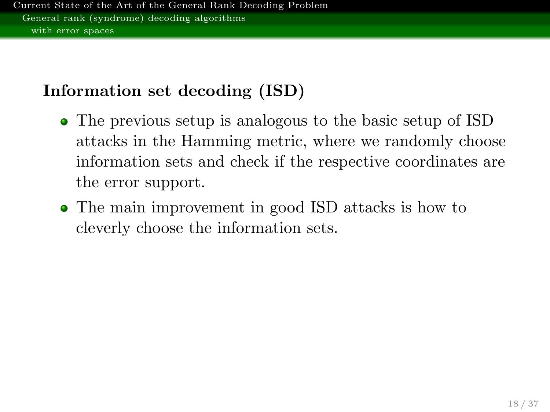## Information set decoding (ISD)

- The previous setup is analogous to the basic setup of ISD attacks in the Hamming metric, where we randomly choose information sets and check if the respective coordinates are the error support.
- The main improvement in good ISD attacks is how to cleverly choose the information sets.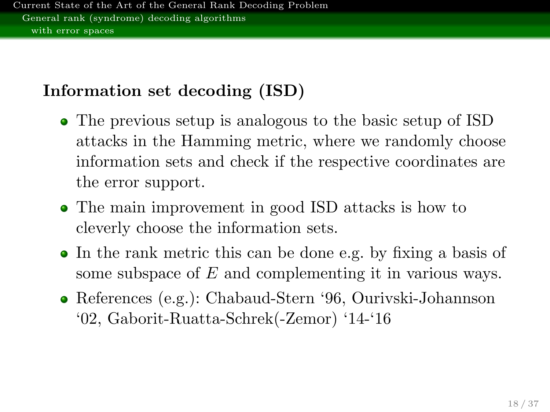## Information set decoding (ISD)

- The previous setup is analogous to the basic setup of ISD attacks in the Hamming metric, where we randomly choose information sets and check if the respective coordinates are the error support.
- The main improvement in good ISD attacks is how to cleverly choose the information sets.
- In the rank metric this can be done e.g. by fixing a basis of some subspace of E and complementing it in various ways.
- References (e.g.): Chabaud-Stern '96, Ourivski-Johannson '02, Gaborit-Ruatta-Schrek(-Zemor) '14-'16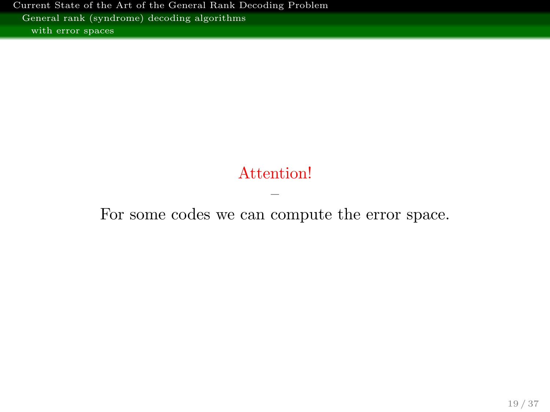### Attention!

– For some codes we can compute the error space.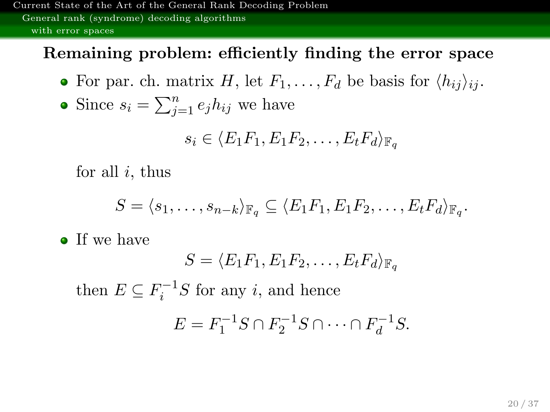### Remaining problem: efficiently finding the error space

• For par. ch. matrix H, let  $F_1, \ldots, F_d$  be basis for  $\langle h_{ij} \rangle_{ij}$ .

• Since 
$$
s_i = \sum_{j=1}^n e_j h_{ij}
$$
 we have

$$
s_i \in \langle E_1 F_1, E_1 F_2, \dots, E_t F_d \rangle_{\mathbb{F}_q}
$$

for all  $i$ , thus

$$
S = \langle s_1, \ldots, s_{n-k} \rangle_{\mathbb{F}_q} \subseteq \langle E_1 F_1, E_1 F_2, \ldots, E_t F_d \rangle_{\mathbb{F}_q}.
$$

• If we have

$$
S = \langle E_1 F_1, E_1 F_2, \dots, E_t F_d \rangle_{\mathbb{F}_q}
$$

then  $E \subseteq F_i^{-1}S$  for any *i*, and hence

$$
E = F_1^{-1}S \cap F_2^{-1}S \cap \dots \cap F_d^{-1}S.
$$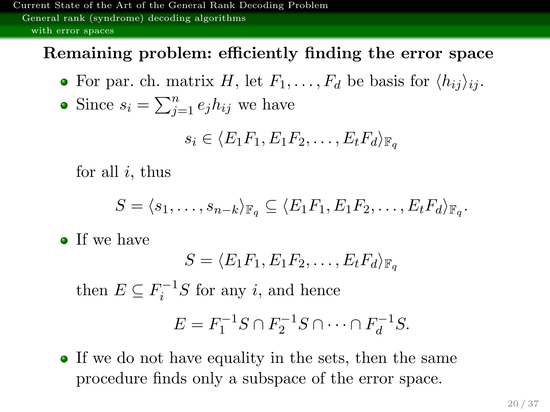### Remaining problem: efficiently finding the error space

• For par. ch. matrix H, let  $F_1, \ldots, F_d$  be basis for  $\langle h_{ij} \rangle_{ij}$ .

• Since 
$$
s_i = \sum_{j=1}^n e_j h_{ij}
$$
 we have

$$
s_i \in \langle E_1 F_1, E_1 F_2, \dots, E_t F_d \rangle_{\mathbb{F}_q}
$$

for all  $i$ , thus

$$
S = \langle s_1, \ldots, s_{n-k} \rangle_{\mathbb{F}_q} \subseteq \langle E_1 F_1, E_1 F_2, \ldots, E_t F_d \rangle_{\mathbb{F}_q}.
$$

• If we have

$$
S = \langle E_1 F_1, E_1 F_2, \dots, E_t F_d \rangle_{\mathbb{F}_q}
$$

then  $E \subseteq F_i^{-1}S$  for any *i*, and hence

$$
E = F_1^{-1}S \cap F_2^{-1}S \cap \dots \cap F_d^{-1}S.
$$

• If we do not have equality in the sets, then the same procedure finds only a subspace of the error space.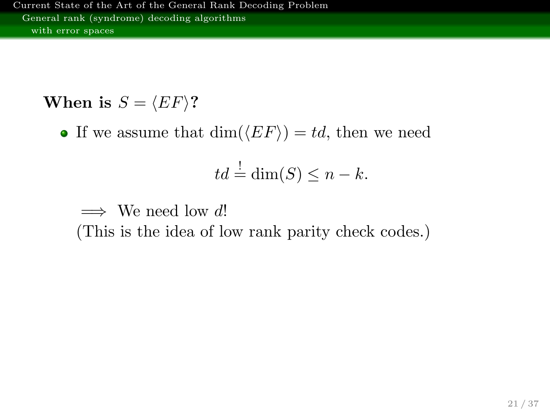When is  $S = \langle EF \rangle$ ?

• If we assume that  $\dim(\langle EF \rangle) = td$ , then we need

$$
td = \dim(S) \le n - k.
$$

 $\implies$  We need low d! (This is the idea of low rank parity check codes.)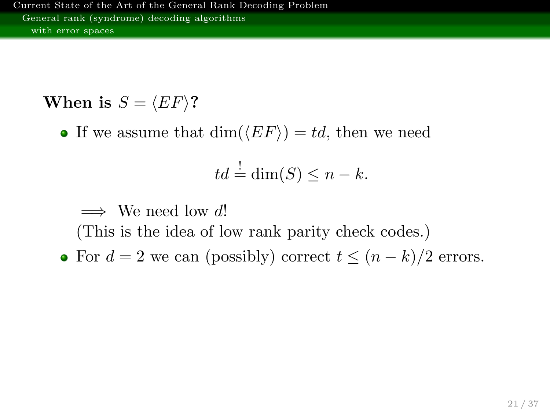When is  $S = \langle EF \rangle$ ?

• If we assume that  $\dim(\langle EF \rangle) = td$ , then we need

$$
td = \dim(S) \le n - k.
$$

 $\implies$  We need low d!

(This is the idea of low rank parity check codes.)

• For  $d = 2$  we can (possibly) correct  $t \leq (n - k)/2$  errors.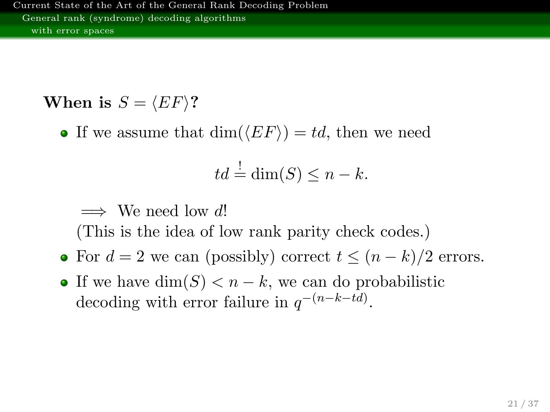When is  $S = \langle EF \rangle$ ?

• If we assume that  $\dim(\langle EF \rangle) = td$ , then we need

$$
td = \dim(S) \le n - k.
$$

 $\implies$  We need low d!

(This is the idea of low rank parity check codes.)

- For  $d = 2$  we can (possibly) correct  $t \leq (n k)/2$  errors.
- If we have  $\dim(S) < n k$ , we can do probabilistic decoding with error failure in  $q^{-(n-k-td)}$ .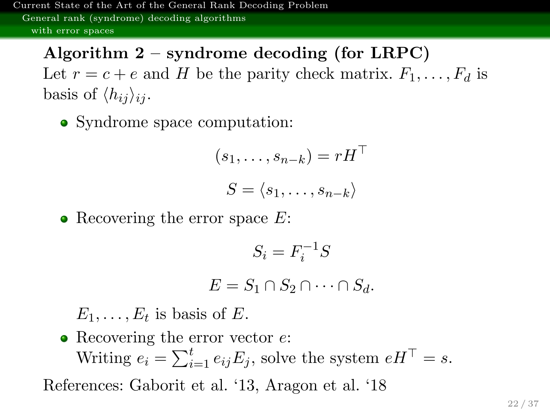# Algorithm  $2$  – syndrome decoding (for LRPC)

Let  $r = c + e$  and H be the parity check matrix.  $F_1, \ldots, F_d$  is basis of  $\langle h_{ij} \rangle_{ii}$ .

• Syndrome space computation:

$$
(s_1, \ldots, s_{n-k}) = rH^\top
$$

$$
S = \langle s_1, \ldots, s_{n-k} \rangle
$$

• Recovering the error space  $E$ :

$$
S_i = F_i^{-1}S
$$
  

$$
E = S_1 \cap S_2 \cap \dots \cap S_d.
$$

 $E_1, \ldots, E_t$  is basis of E.

• Recovering the error vector  $e$ : Writing  $e_i = \sum_{i=1}^t e_{ij} E_j$ , solve the system  $e H^\top = s$ .

References: Gaborit et al. '13, Aragon et al. '18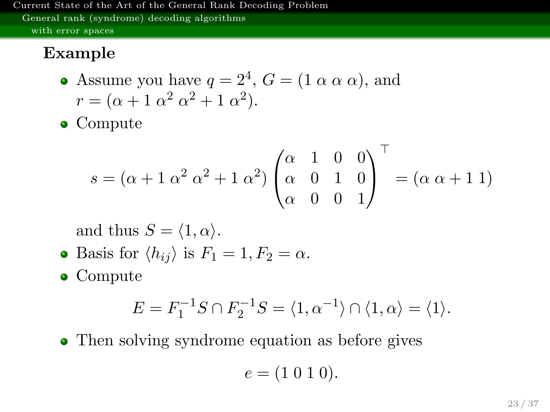### Example

- Assume you have  $q = 2^4$ ,  $G = (1 \alpha \alpha \alpha)$ , and  $r = (\alpha + 1 \alpha^2 \alpha^2 + 1 \alpha^2).$
- Compute

$$
s = (\alpha + 1 \alpha^{2} \alpha^{2} + 1 \alpha^{2}) \begin{pmatrix} \alpha & 1 & 0 & 0 \\ \alpha & 0 & 1 & 0 \\ \alpha & 0 & 0 & 1 \end{pmatrix}^{\top} = (\alpha \alpha + 1 \alpha^{2})
$$

and thus  $S = \langle 1, \alpha \rangle$ .

• Basis for 
$$
\langle h_{ij} \rangle
$$
 is  $F_1 = 1, F_2 = \alpha$ .

• Compute

$$
E = F_1^{-1}S \cap F_2^{-1}S = \langle 1, \alpha^{-1} \rangle \cap \langle 1, \alpha \rangle = \langle 1 \rangle.
$$

• Then solving syndrome equation as before gives

$$
e = (1 \ 0 \ 1 \ 0).
$$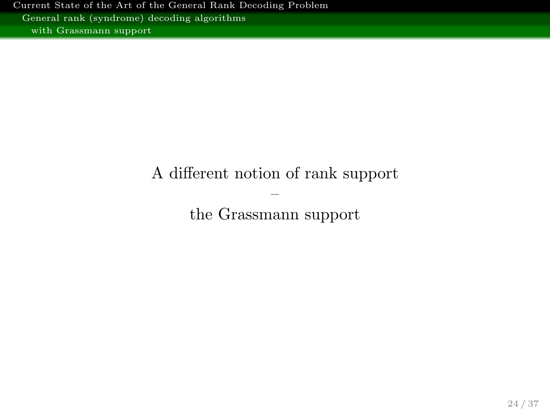### <span id="page-38-0"></span>A different notion of rank support

– the Grassmann support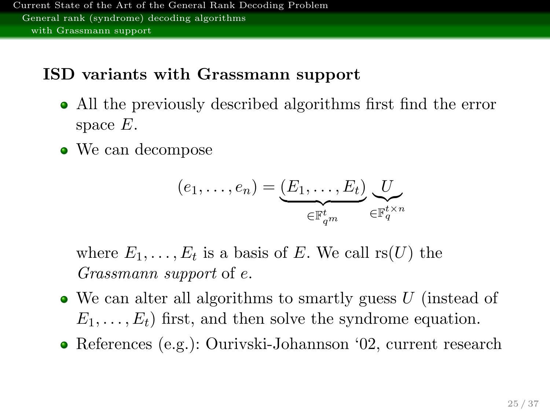### ISD variants with Grassmann support

- All the previously described algorithms first find the error space  $E$ .
- We can decompose

$$
(e_1,\ldots,e_n) = \underbrace{(E_1,\ldots,E_t)}_{\in \mathbb{F}_{q^m}^t} \underbrace{U}_{\in \mathbb{F}_q^{t \times n}}
$$

where  $E_1, \ldots, E_t$  is a basis of E. We call  $rs(U)$  the Grassmann support of e.

- $\bullet$  We can alter all algorithms to smartly guess U (instead of  $E_1, \ldots, E_t$  first, and then solve the syndrome equation.
- References (e.g.): Ourivski-Johannson '02, current research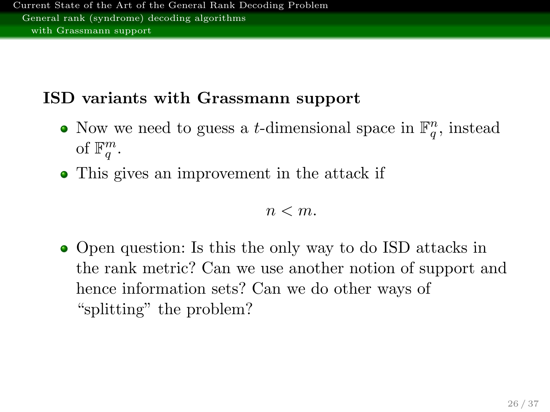## ISD variants with Grassmann support

- Now we need to guess a *t*-dimensional space in  $\mathbb{F}_q^n$ , instead of  $\mathbb{F}_q^m$ .
- This gives an improvement in the attack if

#### $n < m$ .

• Open question: Is this the only way to do ISD attacks in the rank metric? Can we use another notion of support and hence information sets? Can we do other ways of "splitting" the problem?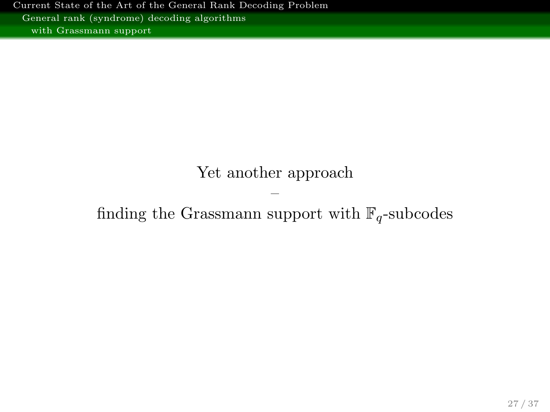### Yet another approach

### – finding the Grassmann support with  $\mathbb{F}_q$ -subcodes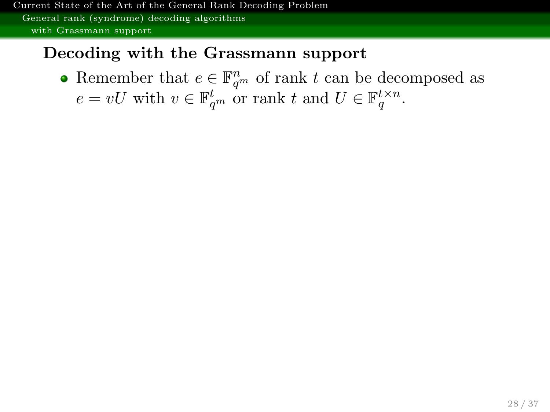### Decoding with the Grassmann support

Remember that  $e \in \mathbb{F}_{q^m}^n$  of rank t can be decomposed as  $e = vU$  with  $v \in \mathbb{F}_{q^m}^t$  or rank t and  $U \in \mathbb{F}_q^{t \times n}$ .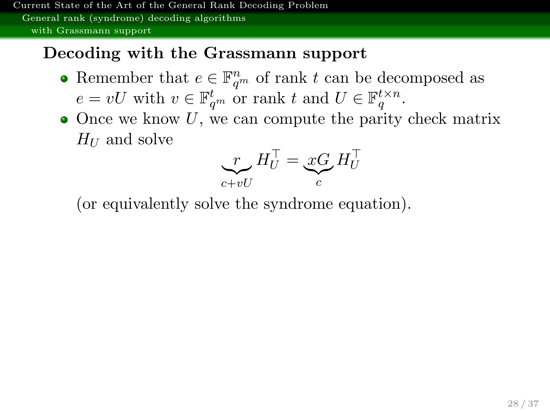### Decoding with the Grassmann support

- Remember that  $e \in \mathbb{F}_{q^m}^n$  of rank t can be decomposed as  $e = vU$  with  $v \in \mathbb{F}_{q^m}^t$  or rank t and  $U \in \mathbb{F}_q^{t \times n}$ .
- $\bullet$  Once we know U, we can compute the parity check matrix  $H_U$  and solve

$$
\sum_{c+vU} H_U^\top = \underbrace{xC}_c H_U^\top
$$

(or equivalently solve the syndrome equation).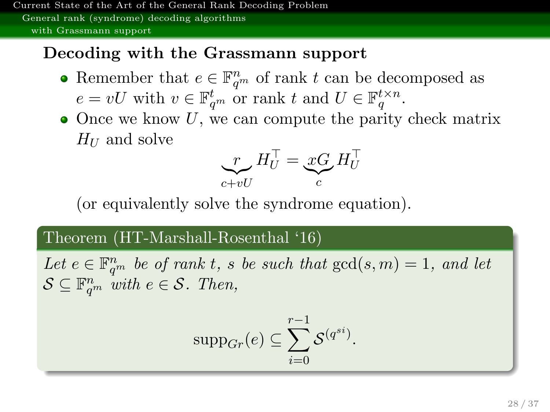### Decoding with the Grassmann support

- Remember that  $e \in \mathbb{F}_{q^m}^n$  of rank t can be decomposed as  $e = vU$  with  $v \in \mathbb{F}_{q^m}^t$  or rank t and  $U \in \mathbb{F}_q^{t \times n}$ .
- $\bullet$  Once we know U, we can compute the parity check matrix  $H_U$  and solve

$$
\sum_{c+vU} H_U^\top = \underbrace{xC}_c H_U^\top
$$

(or equivalently solve the syndrome equation).

### Theorem (HT-Marshall-Rosenthal '16)

Let  $e \in \mathbb{F}_{q^m}^n$  be of rank t, s be such that  $gcd(s, m) = 1$ , and let  $S \subseteq \mathbb{F}_{q^m}^n$  with  $e \in S$ . Then,

$$
supp_{Gr}(e) \subseteq \sum_{i=0}^{r-1} \mathcal{S}^{(q^{si})}.
$$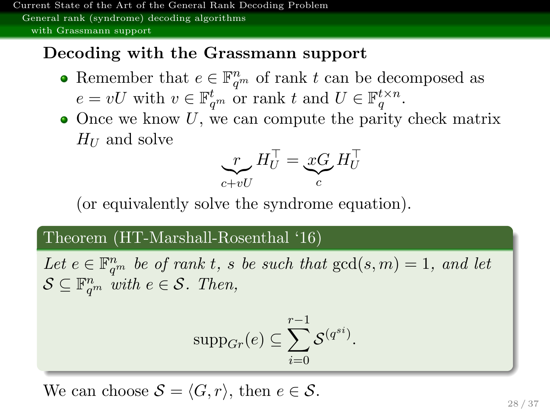### Decoding with the Grassmann support

- Remember that  $e \in \mathbb{F}_{q^m}^n$  of rank t can be decomposed as  $e = vU$  with  $v \in \mathbb{F}_{q^m}^t$  or rank t and  $U \in \mathbb{F}_q^{t \times n}$ .
- $\bullet$  Once we know U, we can compute the parity check matrix  $H_U$  and solve

$$
\sum_{c+vU} H_U^\top = \underbrace{xC}_c H_U^\top
$$

(or equivalently solve the syndrome equation).

### Theorem (HT-Marshall-Rosenthal '16)

Let  $e \in \mathbb{F}_{q^m}^n$  be of rank t, s be such that  $gcd(s, m) = 1$ , and let  $S \subseteq \mathbb{F}_{q^m}^n$  with  $e \in S$ . Then,

$$
supp_{Gr}(e) \subseteq \sum_{i=0}^{r-1} \mathcal{S}^{(q^{si})}.
$$

We can choose  $S = \langle G, r \rangle$ , then  $e \in S$ .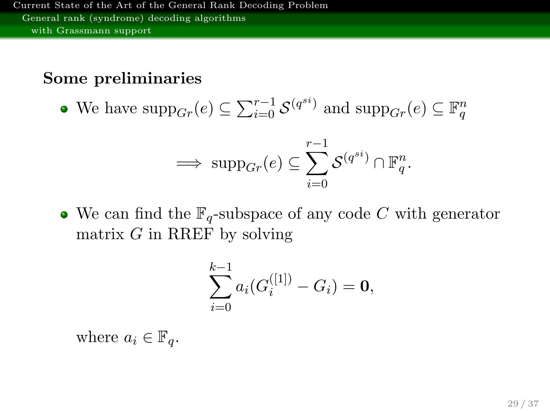### Some preliminaries

We have  $\text{supp}_{Gr}(e) \subseteq \sum_{i=0}^{r-1} \mathcal{S}^{(q^{si})}$  and  $\text{supp}_{Gr}(e) \subseteq \mathbb{F}_q^n$ 

$$
\implies \text{supp}_{Gr}(e) \subseteq \sum_{i=0}^{r-1} \mathcal{S}^{(q^{si})} \cap \mathbb{F}_q^n.
$$

• We can find the  $\mathbb{F}_q$ -subspace of any code C with generator matrix  $G$  in RREF by solving

$$
\sum_{i=0}^{k-1} a_i (G_i^{([1])} - G_i) = \mathbf{0},
$$

where  $a_i \in \mathbb{F}_q$ .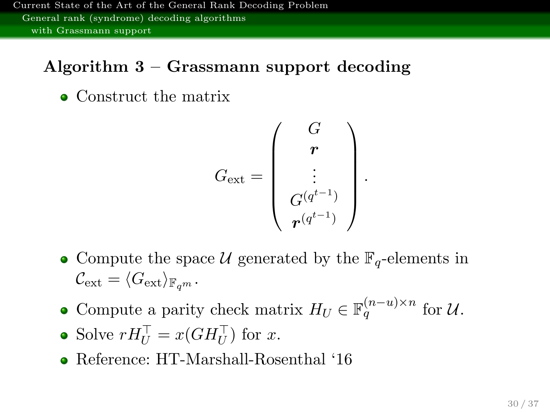### Algorithm 3 – Grassmann support decoding

• Construct the matrix

$$
G_{\rm ext} = \left(\begin{array}{c} G \\ \bm{r} \\ \vdots \\ G^{(q^{t-1})} \\ \bm{r}^{(q^{t-1})} \end{array}\right).
$$

- Compute the space U generated by the  $\mathbb{F}_q$ -elements in  $\mathcal{C}_{\text{ext}} = \langle G_{\text{ext}} \rangle_{\mathbb{F}_{\alpha^m}}.$
- Compute a parity check matrix  $H_U \in \mathbb{F}_q^{(n-u)\times n}$  for  $\mathcal{U}$ .
- Solve  $rH_U^{\top} = x(GH_U^{\top})$  for x.
- Reference: HT-Marshall-Rosenthal '16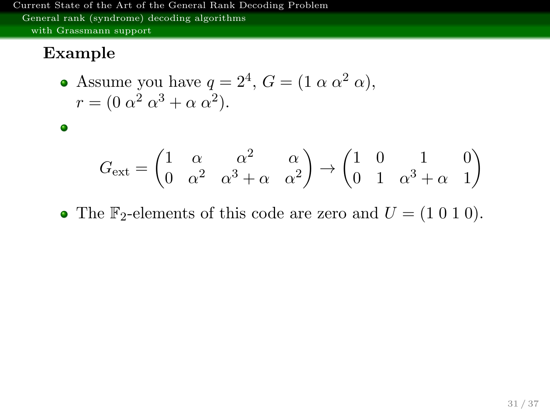### Example

 $\bullet$ 

• Assume you have 
$$
q = 2^4
$$
,  $G = (1 \alpha \alpha^2 \alpha)$ ,  
\n $r = (0 \alpha^2 \alpha^3 + \alpha \alpha^2)$ .

$$
G_{\text{ext}} = \begin{pmatrix} 1 & \alpha & \alpha^2 & \alpha \\ 0 & \alpha^2 & \alpha^3 + \alpha & \alpha^2 \end{pmatrix} \rightarrow \begin{pmatrix} 1 & 0 & 1 & 0 \\ 0 & 1 & \alpha^3 + \alpha & 1 \end{pmatrix}
$$

• The  $\mathbb{F}_2$ -elements of this code are zero and  $U = (1\ 0\ 1\ 0)$ .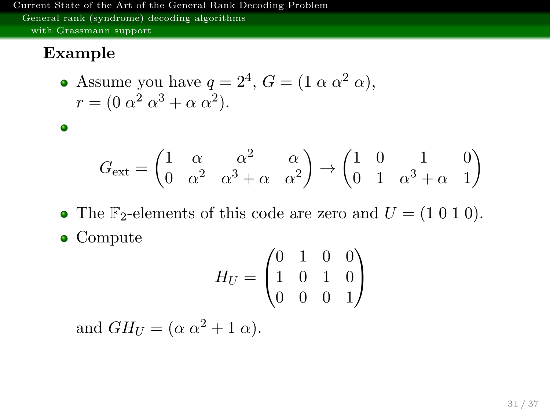### Example

 $\bullet$ 

• Assume you have 
$$
q = 2^4
$$
,  $G = (1 \alpha \alpha^2 \alpha)$ ,  
\n $r = (0 \alpha^2 \alpha^3 + \alpha \alpha^2)$ .

$$
G_{\text{ext}} = \begin{pmatrix} 1 & \alpha & \alpha^2 & \alpha \\ 0 & \alpha^2 & \alpha^3 + \alpha & \alpha^2 \end{pmatrix} \rightarrow \begin{pmatrix} 1 & 0 & 1 & 0 \\ 0 & 1 & \alpha^3 + \alpha & 1 \end{pmatrix}
$$

- The  $\mathbb{F}_2$ -elements of this code are zero and  $U = (1\ 0\ 1\ 0)$ .
- Compute

$$
H_U = \begin{pmatrix} 0 & 1 & 0 & 0 \\ 1 & 0 & 1 & 0 \\ 0 & 0 & 0 & 1 \end{pmatrix}
$$

and  $GH_U = (\alpha \alpha^2 + 1 \alpha)$ .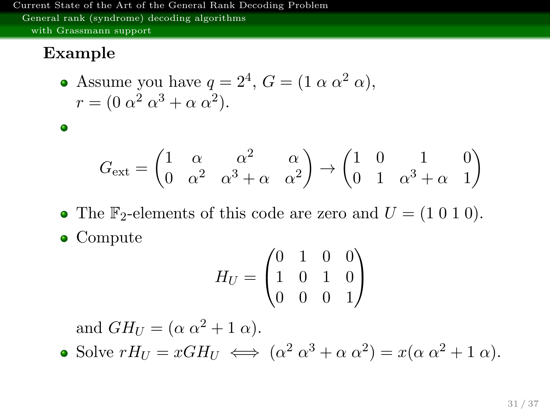### Example

 $\bullet$ 

• Assume you have 
$$
q = 2^4
$$
,  $G = (1 \alpha \alpha^2 \alpha)$ ,  
\n $r = (0 \alpha^2 \alpha^3 + \alpha \alpha^2)$ .

$$
G_{\text{ext}} = \begin{pmatrix} 1 & \alpha & \alpha^2 & \alpha \\ 0 & \alpha^2 & \alpha^3 + \alpha & \alpha^2 \end{pmatrix} \rightarrow \begin{pmatrix} 1 & 0 & 1 & 0 \\ 0 & 1 & \alpha^3 + \alpha & 1 \end{pmatrix}
$$

- The  $\mathbb{F}_2$ -elements of this code are zero and  $U = (1\ 0\ 1\ 0)$ .
- Compute

$$
H_U = \begin{pmatrix} 0 & 1 & 0 & 0 \\ 1 & 0 & 1 & 0 \\ 0 & 0 & 0 & 1 \end{pmatrix}
$$

and  $GH_U = (\alpha \alpha^2 + 1 \alpha)$ .

Solve  $rH_U = xGH_U \iff (\alpha^2 \alpha^3 + \alpha \alpha^2) = x(\alpha \alpha^2 + 1 \alpha).$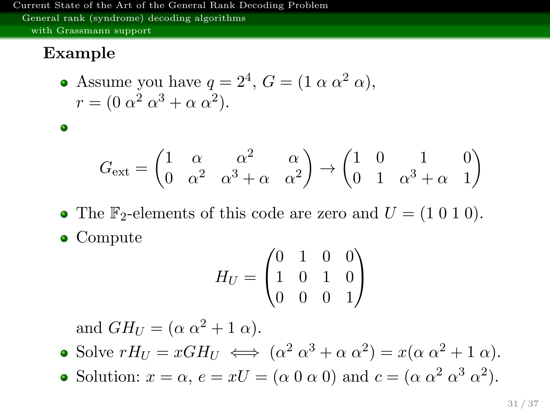### Example

 $\bullet$ 

• Assume you have 
$$
q = 2^4
$$
,  $G = (1 \alpha \alpha^2 \alpha)$ ,  
\n $r = (0 \alpha^2 \alpha^3 + \alpha \alpha^2)$ .

$$
G_{\text{ext}} = \begin{pmatrix} 1 & \alpha & \alpha^2 & \alpha \\ 0 & \alpha^2 & \alpha^3 + \alpha & \alpha^2 \end{pmatrix} \rightarrow \begin{pmatrix} 1 & 0 & 1 & 0 \\ 0 & 1 & \alpha^3 + \alpha & 1 \end{pmatrix}
$$

- The  $\mathbb{F}_2$ -elements of this code are zero and  $U = (1\ 0\ 1\ 0)$ .
- Compute

$$
H_U = \begin{pmatrix} 0 & 1 & 0 & 0 \\ 1 & 0 & 1 & 0 \\ 0 & 0 & 0 & 1 \end{pmatrix}
$$

and  $GH_U = (\alpha \alpha^2 + 1 \alpha)$ .

- Solve  $rH_U = xGH_U \iff (\alpha^2 \alpha^3 + \alpha \alpha^2) = x(\alpha \alpha^2 + 1 \alpha).$
- Solution:  $x = \alpha$ ,  $e = xU = (\alpha \ 0 \ \alpha \ 0)$  and  $c = (\alpha \ \alpha^2 \ \alpha^3 \ \alpha^2)$ .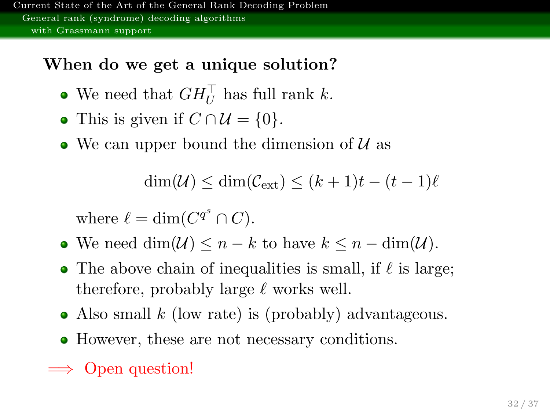## When do we get a unique solution?

- We need that  $GH_U^{\top}$  has full rank k.
- This is given if  $C \cap \mathcal{U} = \{0\}.$
- We can upper bound the dimension of  $\mathcal{U}$  as

$$
\dim(\mathcal{U}) \le \dim(\mathcal{C}_{\text{ext}}) \le (k+1)t - (t-1)\ell
$$

where  $\ell = \dim(C^{q^s} \cap C)$ .

- We need  $\dim(\mathcal{U}) \leq n k$  to have  $k \leq n \dim(\mathcal{U})$ .
- The above chain of inequalities is small, if  $\ell$  is large; therefore, probably large  $\ell$  works well.
- Also small  $k$  (low rate) is (probably) advantageous.
- However, these are not necessary conditions.
- $\implies$  Open question!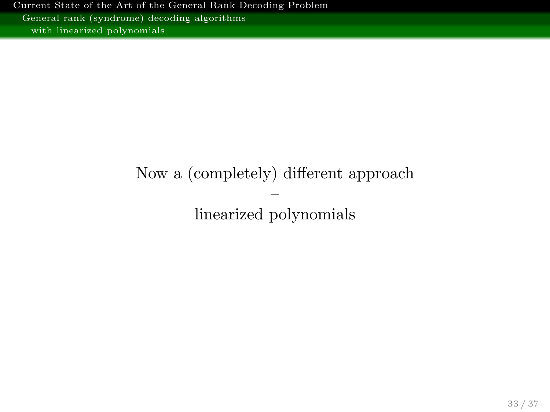## <span id="page-53-0"></span>Now a (completely) different approach – linearized polynomials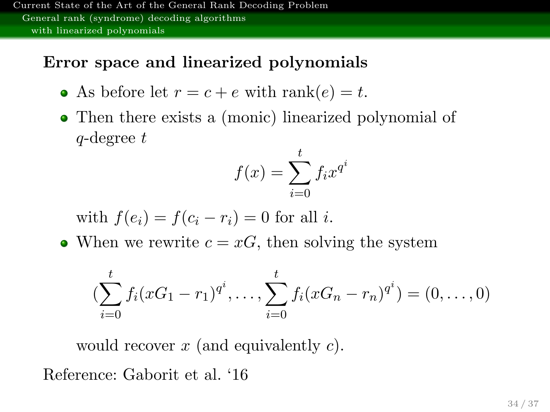### Error space and linearized polynomials

- As before let  $r = c + e$  with rank $(e) = t$ .
- Then there exists a (monic) linearized polynomial of  $q$ -degree  $t$

$$
f(x) = \sum_{i=0}^{t} f_i x^{q^i}
$$

with  $f(e_i) = f(c_i - r_i) = 0$  for all i.

• When we rewrite  $c = xG$ , then solving the system

$$
(\sum_{i=0}^{t} f_i(xG_1 - r_1)^{q^i}, \dots, \sum_{i=0}^{t} f_i(xG_n - r_n)^{q^i}) = (0, \dots, 0)
$$

would recover  $x$  (and equivalently  $c$ ).

Reference: Gaborit et al. '16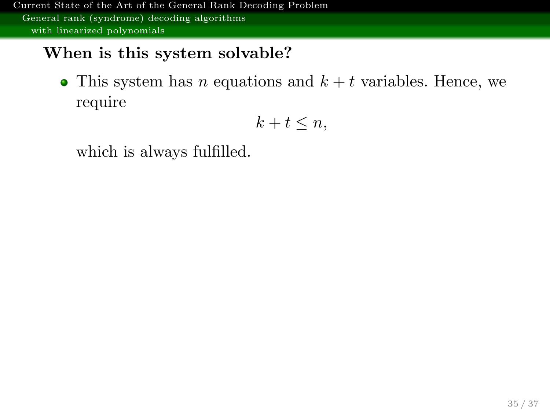### When is this system solvable?

• This system has *n* equations and  $k + t$  variables. Hence, we require

$$
k+t\leq n,
$$

which is always fulfilled.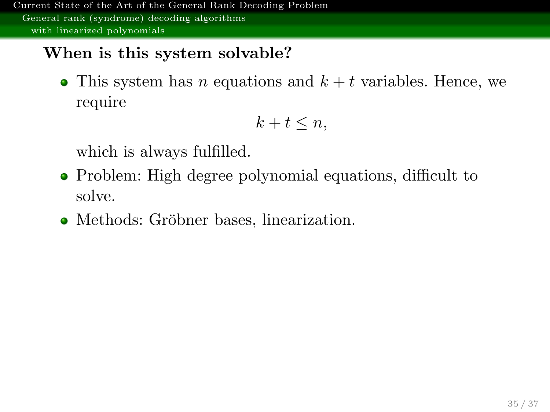### When is this system solvable?

• This system has n equations and  $k + t$  variables. Hence, we require

$$
k+t\leq n,
$$

which is always fulfilled.

- Problem: High degree polynomial equations, difficult to solve.
- Methods: Gröbner bases, linearization.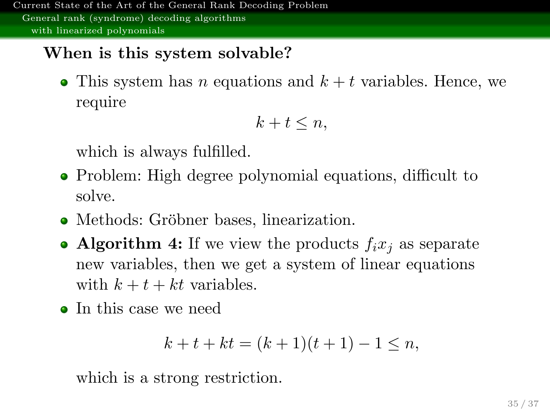### When is this system solvable?

• This system has n equations and  $k + t$  variables. Hence, we require

$$
k+t\leq n,
$$

which is always fulfilled.

- Problem: High degree polynomial equations, difficult to solve.
- Methods: Gröbner bases, linearization.
- Algorithm 4: If we view the products  $f_i x_i$  as separate new variables, then we get a system of linear equations with  $k + t + kt$  variables.
- In this case we need

$$
k + t + kt = (k + 1)(t + 1) - 1 \le n,
$$

which is a strong restriction.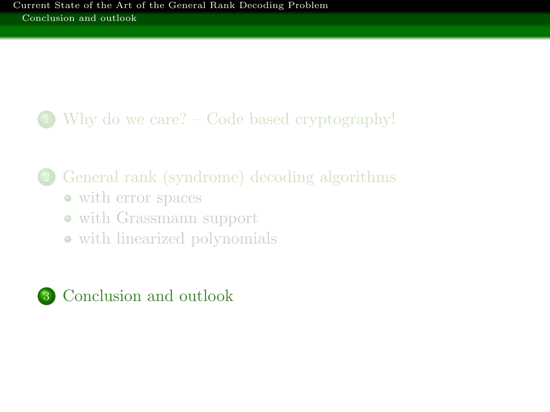## <span id="page-58-0"></span>1 [Why do we care? – Code based cryptography!](#page-2-0)

## 2 [General rank \(syndrome\) decoding algorithms](#page-16-0)

- [with error spaces](#page-17-0)
- [with Grassmann support](#page-38-0)
- [with linearized polynomials](#page-53-0)

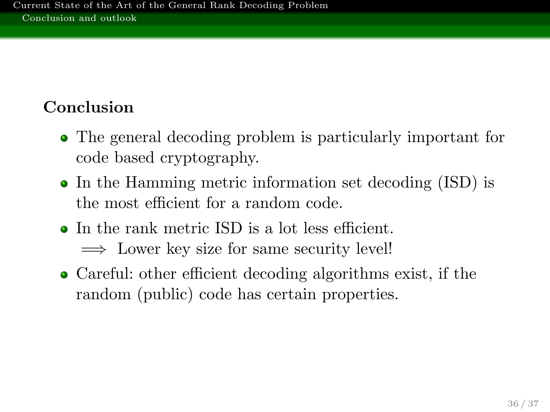## Conclusion

- The general decoding problem is particularly important for code based cryptography.
- In the Hamming metric information set decoding (ISD) is the most efficient for a random code.
- In the rank metric ISD is a lot less efficient.  $\implies$  Lower key size for same security level!
- Careful: other efficient decoding algorithms exist, if the random (public) code has certain properties.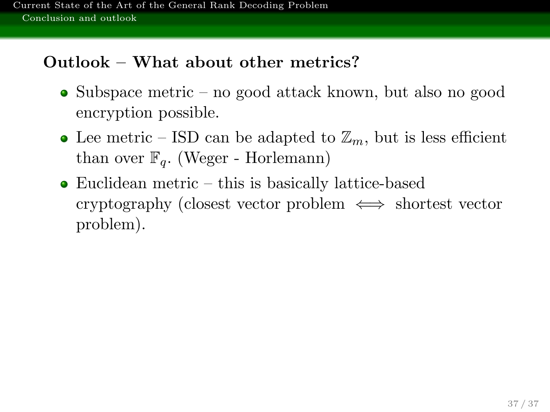## Outlook – What about other metrics?

- Subspace metric no good attack known, but also no good encryption possible.
- Lee metric ISD can be adapted to  $\mathbb{Z}_m$ , but is less efficient than over  $\mathbb{F}_q$ . (Weger - Horlemann)
- Euclidean metric this is basically lattice-based cryptography (closest vector problem  $\iff$  shortest vector problem).